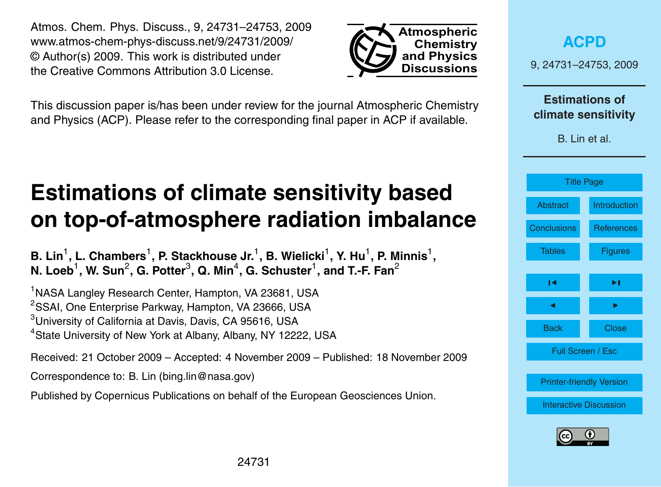24731

<span id="page-0-0"></span>Atmos. Chem. Phys. Discuss., 9, 24731–24753, 2009 www.atmos-chem-phys-discuss.net/9/24731/2009/ © Author(s) 2009. This work is distributed under the Creative Commons Attribution 3.0 License.

This discussion paper is/has been under review for the journal Atmospheric Chemistry and Physics (ACP). Please refer to the corresponding final paper in ACP if available.

# **Estimations of climate sensitivity based on top-of-atmosphere radiation imbalance**

B. Lin<sup>1</sup>, L. Chambers<sup>1</sup>, P. Stackhouse Jr.<sup>1</sup>, B. Wielicki<sup>1</sup>, Y. Hu<sup>1</sup>, P. Minnis<sup>1</sup>, **N. Loeb** $^1$ **, W. Sun** $^2$ **, G. Potter** $^3$ **, Q. Min** $^4$ **, G. Schuster** $^1$ **, and T.-F. Fan** $^2$ 

<sup>1</sup>NASA Langley Research Center, Hampton, VA 23681, USA <sup>2</sup>SSAI, One Enterprise Parkway, Hampton, VA 23666, USA <sup>3</sup>University of California at Davis, Davis, CA 95616, USA <sup>4</sup>State University of New York at Albany, Albany, NY 12222, USA

Received: 21 October 2009 – Accepted: 4 November 2009 – Published: 18 November 2009

Correspondence to: B. Lin (bing.lin@nasa.gov)

Published by Copernicus Publications on behalf of the European Geosciences Union.



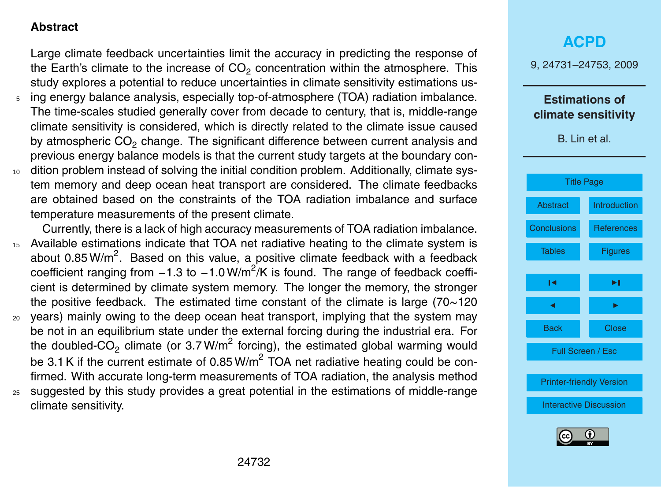### <span id="page-1-0"></span>**Abstract**

Large climate feedback uncertainties limit the accuracy in predicting the response of the Earth's climate to the increase of  $CO<sub>2</sub>$  concentration within the atmosphere. This study explores a potential to reduce uncertainties in climate sensitivity estimations us-

- <sup>5</sup> ing energy balance analysis, especially top-of-atmosphere (TOA) radiation imbalance. The time-scales studied generally cover from decade to century, that is, middle-range climate sensitivity is considered, which is directly related to the climate issue caused by atmospheric  $CO<sub>2</sub>$  change. The significant difference between current analysis and previous energy balance models is that the current study targets at the boundary con-10 dition problem instead of solving the initial condition problem. Additionally, climate system memory and deep ocean heat transport are considered. The climate feedbacks
- are obtained based on the constraints of the TOA radiation imbalance and surface temperature measurements of the present climate.
- Currently, there is a lack of high accuracy measurements of TOA radiation imbalance. <sup>15</sup> Available estimations indicate that TOA net radiative heating to the climate system is about 0.85 W/m<sup>2</sup>. Based on this value, a positive climate feedback with a feedback coefficient ranging from  $-1.3$  to  $-1.0$  W/m<sup>2</sup>/K is found. The range of feedback coefficient is determined by climate system memory. The longer the memory, the stronger the positive feedback. The estimated time constant of the climate is large (70∼120 <sup>20</sup> years) mainly owing to the deep ocean heat transport, implying that the system may be not in an equilibrium state under the external forcing during the industrial era. For
- the doubled-CO<sub>2</sub> climate (or 3.7 W/m<sup>2</sup> forcing), the estimated global warming would be 3.1 K if the current estimate of 0.85 W/m<sup>2</sup> TOA net radiative heating could be confirmed. With accurate long-term measurements of TOA radiation, the analysis method
- <sup>25</sup> suggested by this study provides a great potential in the estimations of middle-range climate sensitivity.

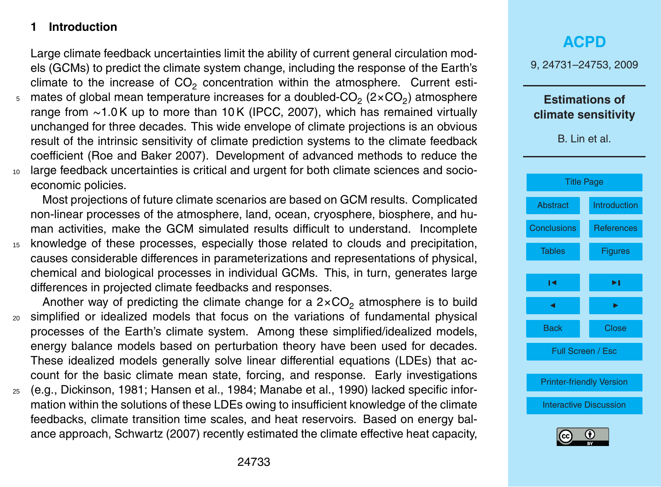### <span id="page-2-0"></span>**1 Introduction**

Large climate feedback uncertainties limit the ability of current general circulation models (GCMs) to predict the climate system change, including the response of the Earth's climate to the increase of  $CO<sub>2</sub>$  concentration within the atmosphere. Current esti-

 $_{5}$   $\,$  mates of global mean temperature increases for a doubled-CO $_{2}$  (2 $\times$ CO $_{2})$  atmosphere range from ∼1.0 K up to more than 10 K (IPCC, 2007), which has remained virtually unchanged for three decades. This wide envelope of climate projections is an obvious result of the intrinsic sensitivity of climate prediction systems to the climate feedback coefficient (Roe and Baker 2007). Development of advanced methods to reduce the <sup>10</sup> large feedback uncertainties is critical and urgent for both climate sciences and socioeconomic policies.

Most projections of future climate scenarios are based on GCM results. Complicated non-linear processes of the atmosphere, land, ocean, cryosphere, biosphere, and human activities, make the GCM simulated results difficult to understand. Incomplete

<sup>15</sup> knowledge of these processes, especially those related to clouds and precipitation, causes considerable differences in parameterizations and representations of physical, chemical and biological processes in individual GCMs. This, in turn, generates large differences in projected climate feedbacks and responses.

Another way of predicting the climate change for a  $2 \times CO<sub>2</sub>$  atmosphere is to build <sup>20</sup> simplified or idealized models that focus on the variations of fundamental physical processes of the Earth's climate system. Among these simplified/idealized models, energy balance models based on perturbation theory have been used for decades. These idealized models generally solve linear differential equations (LDEs) that account for the basic climate mean state, forcing, and response. Early investigations

<sup>25</sup> (e.g., Dickinson, 1981; Hansen et al., 1984; Manabe et al., 1990) lacked specific information within the solutions of these LDEs owing to insufficient knowledge of the climate feedbacks, climate transition time scales, and heat reservoirs. Based on energy balance approach, Schwartz (2007) recently estimated the climate effective heat capacity,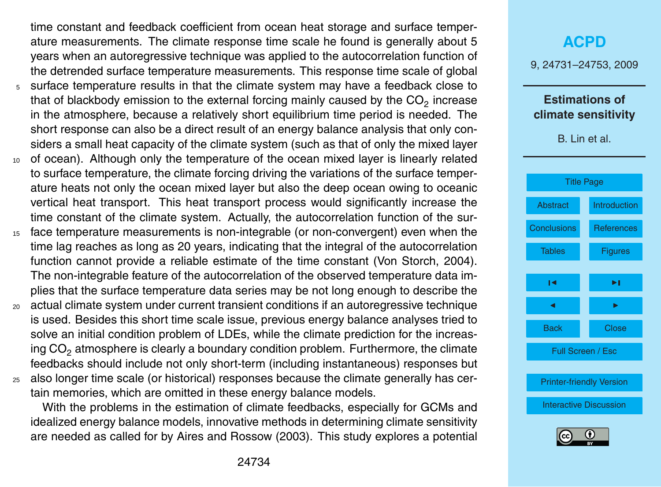time constant and feedback coefficient from ocean heat storage and surface temperature measurements. The climate response time scale he found is generally about 5 years when an autoregressive technique was applied to the autocorrelation function of the detrended surface temperature measurements. This response time scale of global

- <sup>5</sup> surface temperature results in that the climate system may have a feedback close to that of blackbody emission to the external forcing mainly caused by the  $\mathsf{CO}_2$  increase in the atmosphere, because a relatively short equilibrium time period is needed. The short response can also be a direct result of an energy balance analysis that only considers a small heat capacity of the climate system (such as that of only the mixed layer
- <sup>10</sup> of ocean). Although only the temperature of the ocean mixed layer is linearly related to surface temperature, the climate forcing driving the variations of the surface temperature heats not only the ocean mixed layer but also the deep ocean owing to oceanic vertical heat transport. This heat transport process would significantly increase the time constant of the climate system. Actually, the autocorrelation function of the sur-
- <sup>15</sup> face temperature measurements is non-integrable (or non-convergent) even when the time lag reaches as long as 20 years, indicating that the integral of the autocorrelation function cannot provide a reliable estimate of the time constant (Von Storch, 2004). The non-integrable feature of the autocorrelation of the observed temperature data implies that the surface temperature data series may be not long enough to describe the
- <sup>20</sup> actual climate system under current transient conditions if an autoregressive technique is used. Besides this short time scale issue, previous energy balance analyses tried to solve an initial condition problem of LDEs, while the climate prediction for the increasing  $CO<sub>2</sub>$  atmosphere is clearly a boundary condition problem. Furthermore, the climate feedbacks should include not only short-term (including instantaneous) responses but
- <sup>25</sup> also longer time scale (or historical) responses because the climate generally has certain memories, which are omitted in these energy balance models.

With the problems in the estimation of climate feedbacks, especially for GCMs and idealized energy balance models, innovative methods in determining climate sensitivity are needed as called for by Aires and Rossow (2003). This study explores a potential

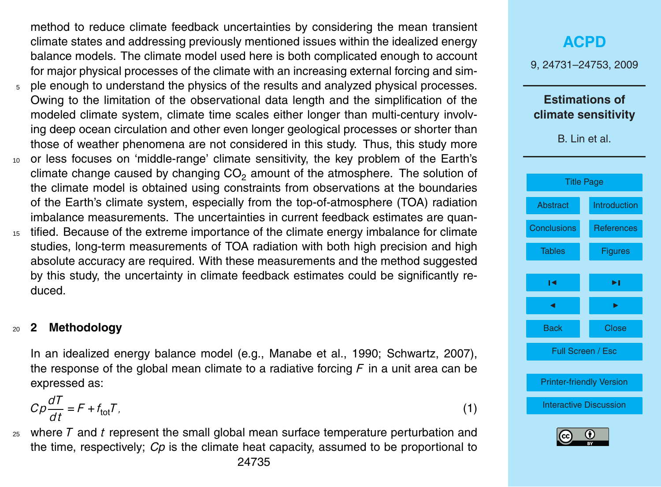method to reduce climate feedback uncertainties by considering the mean transient climate states and addressing previously mentioned issues within the idealized energy balance models. The climate model used here is both complicated enough to account for major physical processes of the climate with an increasing external forcing and sim-

- <sup>5</sup> ple enough to understand the physics of the results and analyzed physical processes. Owing to the limitation of the observational data length and the simplification of the modeled climate system, climate time scales either longer than multi-century involving deep ocean circulation and other even longer geological processes or shorter than those of weather phenomena are not considered in this study. Thus, this study more
- <sup>10</sup> or less focuses on 'middle-range' climate sensitivity, the key problem of the Earth's climate change caused by changing  $CO<sub>2</sub>$  amount of the atmosphere. The solution of the climate model is obtained using constraints from observations at the boundaries of the Earth's climate system, especially from the top-of-atmosphere (TOA) radiation imbalance measurements. The uncertainties in current feedback estimates are quan-
- <sup>15</sup> tified. Because of the extreme importance of the climate energy imbalance for climate studies, long-term measurements of TOA radiation with both high precision and high absolute accuracy are required. With these measurements and the method suggested by this study, the uncertainty in climate feedback estimates could be significantly reduced.

### <sup>20</sup> **2 Methodology**

In an idealized energy balance model (e.g., Manabe et al., 1990; Schwartz, 2007), the response of the global mean climate to a radiative forcing *F* in a unit area can be expressed as:

$$
C\rho \frac{dT}{dt} = F + f_{\text{tot}}T,\tag{1}
$$

<sup>25</sup> where *T* and *t* represent the small global mean surface temperature perturbation and the time, respectively; *Cp* is the climate heat capacity, assumed to be proportional to

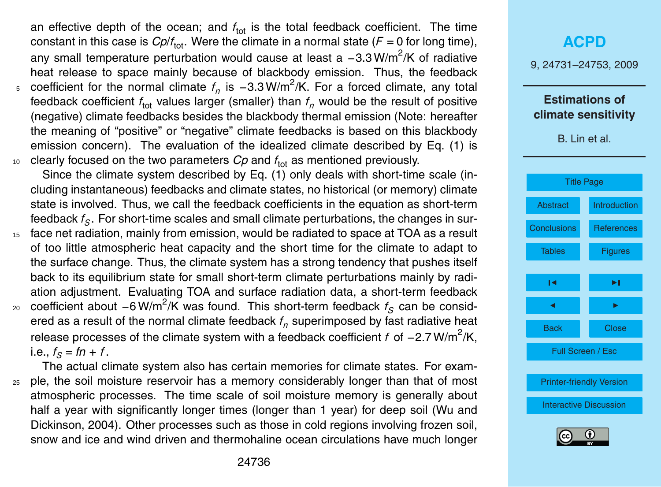an effective depth of the ocean; and  $f_{\text{tot}}$  is the total feedback coefficient. The time constant in this case is  $Cplf_{\textrm{tot}}.$  Were the climate in a normal state ( $F=0$  for long time), any small temperature perturbation would cause at least a -3.3 W/m<sup>2</sup>/K of radiative heat release to space mainly because of blackbody emission. Thus, the feedback <sub>5</sub> coefficient for the normal climate  $f_n$  is −3.3W/m<sup>2</sup>/K. For a forced climate, any total feedback coefficient  $f_{\text{tot}}$  values larger (smaller) than  $f_n$  would be the result of positive (negative) climate feedbacks besides the blackbody thermal emission (Note: hereafter the meaning of "positive" or "negative" climate feedbacks is based on this blackbody emission concern). The evaluation of the idealized climate described by Eq. (1) is  $10$  clearly focused on the two parameters  $Cp$  and  $f_{\text{tot}}$  as mentioned previously.

Since the climate system described by Eq. (1) only deals with short-time scale (including instantaneous) feedbacks and climate states, no historical (or memory) climate state is involved. Thus, we call the feedback coefficients in the equation as short-term feedback *f<sup>S</sup>* . For short-time scales and small climate perturbations, the changes in sur-

- <sup>15</sup> face net radiation, mainly from emission, would be radiated to space at TOA as a result of too little atmospheric heat capacity and the short time for the climate to adapt to the surface change. Thus, the climate system has a strong tendency that pushes itself back to its equilibrium state for small short-term climate perturbations mainly by radiation adjustment. Evaluating TOA and surface radiation data, a short-term feedback 20 coefficient about −6 W/m<sup>2</sup>/K was found. This short-term feedback *f<sub>S</sub>* can be considered as a result of the normal climate feedback *f<sup>n</sup>* superimposed by fast radiative heat
	- release processes of the climate system with a feedback coefficient *f* of −2.7 W/m<sup>2</sup>/K,  $i.e., f<sub>S</sub> = fn + f.$

The actual climate system also has certain memories for climate states. For exam-<sup>25</sup> ple, the soil moisture reservoir has a memory considerably longer than that of most atmospheric processes. The time scale of soil moisture memory is generally about half a year with significantly longer times (longer than 1 year) for deep soil (Wu and Dickinson, 2004). Other processes such as those in cold regions involving frozen soil, snow and ice and wind driven and thermohaline ocean circulations have much longer

## **[ACPD](http://www.atmos-chem-phys-discuss.net)** 9, 24731–24753, 2009 **Estimations of climate sensitivity** B. Lin et al. [Title Page](#page-0-0) [Abstract](#page-1-0) [Introduction](#page-2-0) [Conclusions](#page-15-0) [References](#page-16-0) Tables **[Figures](#page-18-0)**  $\overline{\phantom{a}}$  $\sim$  J  $\sim$ Back Close

Full Screen / Esc

[Printer-friendly Version](http://www.atmos-chem-phys-discuss.net/9/24731/2009/acpd-9-24731-2009-print.pdf)

[Interactive Discussion](http://www.atmos-chem-phys-discuss.net/9/24731/2009/acpd-9-24731-2009-discussion.html)

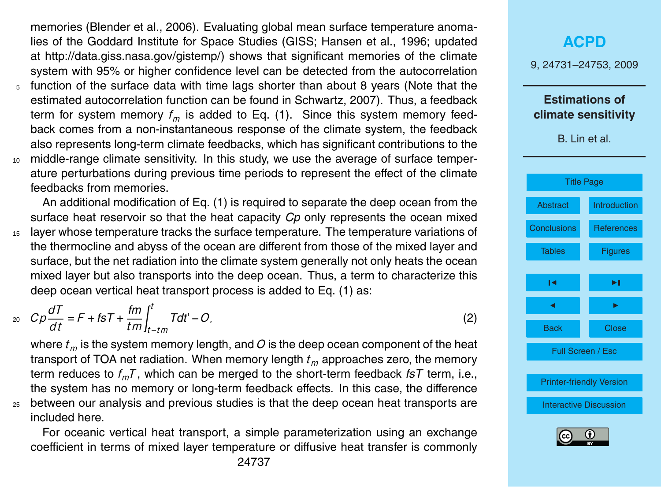memories (Blender et al., 2006). Evaluating global mean surface temperature anomalies of the Goddard Institute for Space Studies (GISS; Hansen et al., 1996; updated at [http://data.giss.nasa.gov/gistemp/\)](http://data.giss.nasa.gov/gistemp/) shows that significant memories of the climate system with 95% or higher confidence level can be detected from the autocorrelation

- <sup>5</sup> function of the surface data with time lags shorter than about 8 years (Note that the estimated autocorrelation function can be found in Schwartz, 2007). Thus, a feedback term for system memory *f<sup>m</sup>* is added to Eq. (1). Since this system memory feedback comes from a non-instantaneous response of the climate system, the feedback also represents long-term climate feedbacks, which has significant contributions to the
- <sup>10</sup> middle-range climate sensitivity. In this study, we use the average of surface temperature perturbations during previous time periods to represent the effect of the climate feedbacks from memories.

An additional modification of Eq. (1) is required to separate the deep ocean from the surface heat reservoir so that the heat capacity *Cp* only represents the ocean mixed <sup>15</sup> layer whose temperature tracks the surface temperature. The temperature variations of the thermocline and abyss of the ocean are different from those of the mixed layer and surface, but the net radiation into the climate system generally not only heats the ocean mixed layer but also transports into the deep ocean. Thus, a term to characterize this deep ocean vertical heat transport process is added to Eq. (1) as:

$$
{}_{20} \quad Cp\frac{dT}{dt} = F +
$$

$$
c\rho \frac{dT}{dt} = F + tST + \frac{fm}{tm} \int_{t - tm}^{t} Tdt' - O,
$$
\n(2)

where  $t_m$  is the system memory length, and  $O$  is the deep ocean component of the heat transport of TOA net radiation. When memory length *t<sup>m</sup>* approaches zero, the memory term reduces to *fmT* , which can be merged to the short-term feedback *fsT* term, i.e., the system has no memory or long-term feedback effects. In this case, the difference <sup>25</sup> between our analysis and previous studies is that the deep ocean heat transports are included here.

For oceanic vertical heat transport, a simple parameterization using an exchange coefficient in terms of mixed layer temperature or diffusive heat transfer is commonly 9, 24731–24753, 2009 **Estimations of climate sensitivity** B. Lin et al. [Title Page](#page-0-0) [Abstract](#page-1-0) [Introduction](#page-2-0) [Conclusions](#page-15-0) [References](#page-16-0) Tables **[Figures](#page-18-0)**  $\overline{\phantom{a}}$  $\sim$  J  $\sim$ Back Close Full Screen / Esc [Printer-friendly Version](http://www.atmos-chem-phys-discuss.net/9/24731/2009/acpd-9-24731-2009-print.pdf) [Interactive Discussion](http://www.atmos-chem-phys-discuss.net/9/24731/2009/acpd-9-24731-2009-discussion.html)

**[ACPD](http://www.atmos-chem-phys-discuss.net)**

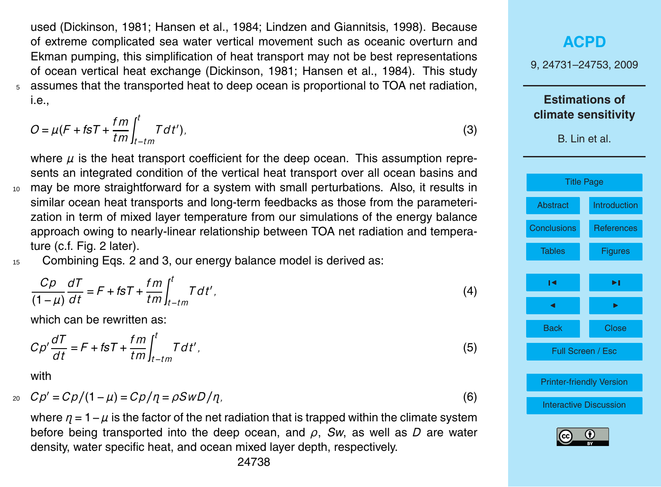used (Dickinson, 1981; Hansen et al., 1984; Lindzen and Giannitsis, 1998). Because of extreme complicated sea water vertical movement such as oceanic overturn and Ekman pumping, this simplification of heat transport may not be best representations of ocean vertical heat exchange (Dickinson, 1981; Hansen et al., 1984). This study <sup>5</sup> assumes that the transported heat to deep ocean is proportional to TOA net radiation, i.e.,

$$
O = \mu (F + \hbar s T + \frac{fm}{tm} \int_{t - tm}^{t} T dt').
$$
\n(3)

where  $\mu$  is the heat transport coefficient for the deep ocean. This assumption represents an integrated condition of the vertical heat transport over all ocean basins and <sup>10</sup> may be more straightforward for a system with small perturbations. Also, it results in similar ocean heat transports and long-term feedbacks as those from the parameterization in term of mixed layer temperature from our simulations of the energy balance approach owing to nearly-linear relationship between TOA net radiation and temperature (c.f. Fig. 2 later).

15 Combining Eqs. 2 and 3, our energy balance model is derived as:

$$
\frac{C\rho}{(1-\mu)}\frac{dT}{dt} = F + f\mathbf{s}T + \frac{fm}{tm}\int_{t-tm}^{t} Tdt',\tag{4}
$$

which can be rewritten as:

$$
C\rho'\frac{dT}{dt} = F + f\mathbf{s}T + \frac{fm}{tm}\int_{t - tm}^{t} T dt',\tag{5}
$$

with

$$
c_0 \quad Cp' = Cp/(1-\mu) = Cp/\eta = \rho SwD/\eta. \tag{6}
$$

where  $\eta = 1 - \mu$  is the factor of the net radiation that is trapped within the climate system before being transported into the deep ocean, and *ρ*, *Sw*, as well as *D* are water density, water specific heat, and ocean mixed layer depth, respectively.

| <b>ACPD</b>                                  |                   |  |
|----------------------------------------------|-------------------|--|
| 9, 24731-24753, 2009                         |                   |  |
| <b>Estimations of</b><br>climate sensitivity |                   |  |
| B. Lin et al.                                |                   |  |
| <b>Title Page</b>                            |                   |  |
|                                              |                   |  |
| <b>Abstract</b>                              | Introduction      |  |
| Conclusions                                  | <b>References</b> |  |
| <b>Tables</b>                                | <b>Figures</b>    |  |
| ıч                                           | ►∣                |  |
| ◀                                            | ь                 |  |
| <b>Back</b>                                  | Close             |  |
| Full Screen / Esc                            |                   |  |
|                                              |                   |  |
| <b>Printer-friendly Version</b>              |                   |  |
| <b>Interactive Discussion</b>                |                   |  |
| Œ<br>(cc                                     |                   |  |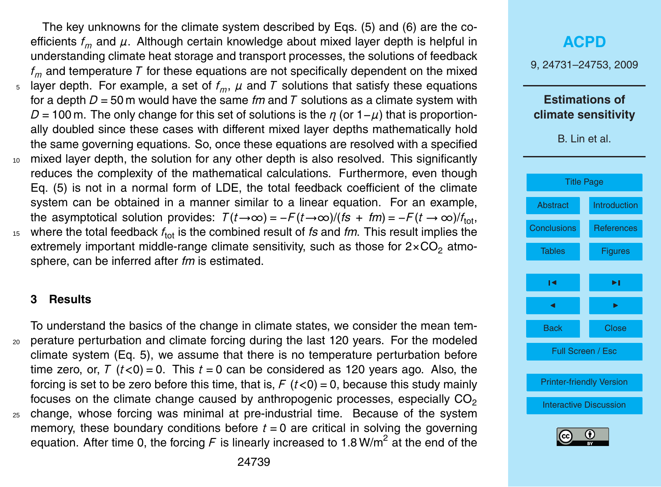The key unknowns for the climate system described by Eqs. (5) and (6) are the coefficients  $f_m$  and  $\mu$ . Although certain knowledge about mixed layer depth is helpful in understanding climate heat storage and transport processes, the solutions of feedback *f<sup>m</sup>* and temperature *T* for these equations are not specifically dependent on the mixed  $5$  layer depth. For example, a set of  $f_m$ ,  $\mu$  and  $\tau$  solutions that satisfy these equations for a depth  $D = 50$  m would have the same *fm* and *T* solutions as a climate system with  $D = 100$  m. The only change for this set of solutions is the *η* (or  $1-\mu$ ) that is proportionally doubled since these cases with different mixed layer depths mathematically hold the same governing equations. So, once these equations are resolved with a specified <sup>10</sup> mixed layer depth, the solution for any other depth is also resolved. This significantly reduces the complexity of the mathematical calculations. Furthermore, even though Eq. (5) is not in a normal form of LDE, the total feedback coefficient of the climate system can be obtained in a manner similar to a linear equation. For an example, the asymptotical solution provides:  $T(t\rightarrow\infty) = -F(t\rightarrow\infty)/(fs + fm) = -F(t\rightarrow\infty)/f_{\text{tot}},$ <sup>15</sup> where the total feedback  $f_{\text{tot}}$  is the combined result of *fs* and *fm*. This result implies the extremely important middle-range climate sensitivity, such as those for  $2 \times CO<sub>2</sub>$  atmosphere, can be inferred after *fm* is estimated.

#### **3 Results**

To understand the basics of the change in climate states, we consider the mean tem-<sup>20</sup> perature perturbation and climate forcing during the last 120 years. For the modeled climate system (Eq. 5), we assume that there is no temperature perturbation before time zero, or,  $T(t<0) = 0$ . This  $t = 0$  can be considered as 120 years ago. Also, the forcing is set to be zero before this time, that is,  $F(t<0) = 0$ , because this study mainly focuses on the climate change caused by anthropogenic processes, especially  $CO<sub>2</sub>$ <sup>25</sup> change, whose forcing was minimal at pre-industrial time. Because of the system memory, these boundary conditions before  $t = 0$  are critical in solving the governing equation. After time 0, the forcing  $F$  is linearly increased to 1.8 W/m<sup>2</sup> at the end of the

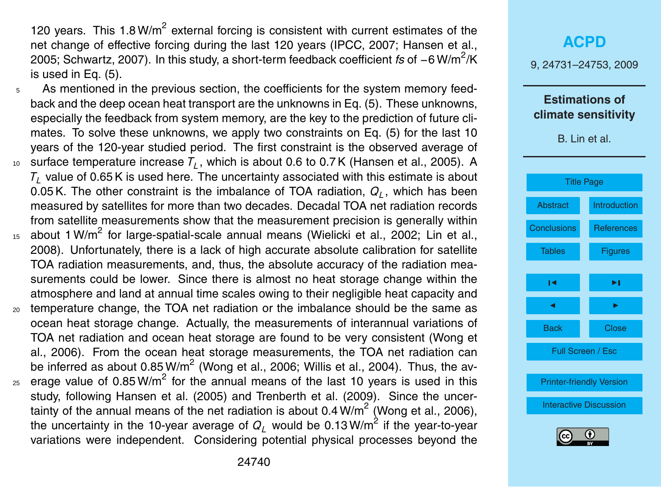120 years. This  $1.8 \text{W/m}^2$  external forcing is consistent with current estimates of the net change of effective forcing during the last 120 years (IPCC, 2007; Hansen et al., 2005; Schwartz, 2007). In this study, a short-term feedback coefficient *fs* of −6 W/m<sup>2</sup>/K is used in Eq. (5).

- As mentioned in the previous section, the coefficients for the system memory feedback and the deep ocean heat transport are the unknowns in Eq. (5). These unknowns, especially the feedback from system memory, are the key to the prediction of future climates. To solve these unknowns, we apply two constraints on Eq. (5) for the last 10 years of the 120-year studied period. The first constraint is the observed average of  $_{10}$  surface temperature increase  $\mathcal{T}_L$ , which is about 0.6 to 0.7 K (Hansen et al., 2005). A
- *T<sub>L</sub>* value of 0.65 K is used here. The uncertainty associated with this estimate is about 0.05 K. The other constraint is the imbalance of TOA radiation, *Q<sup>L</sup>* , which has been measured by satellites for more than two decades. Decadal TOA net radiation records from satellite measurements show that the measurement precision is generally within
- $15$  about 1 W/m<sup>2</sup> for large-spatial-scale annual means (Wielicki et al., 2002; Lin et al., 2008). Unfortunately, there is a lack of high accurate absolute calibration for satellite TOA radiation measurements, and, thus, the absolute accuracy of the radiation measurements could be lower. Since there is almost no heat storage change within the atmosphere and land at annual time scales owing to their negligible heat capacity and
- <sup>20</sup> temperature change, the TOA net radiation or the imbalance should be the same as ocean heat storage change. Actually, the measurements of interannual variations of TOA net radiation and ocean heat storage are found to be very consistent (Wong et al., 2006). From the ocean heat storage measurements, the TOA net radiation can be inferred as about 0.85 W/m<sup>2</sup> (Wong et al., 2006; Willis et al., 2004). Thus, the av-
- $_{25}$  erage value of 0.85 W/m<sup>2</sup> for the annual means of the last 10 years is used in this study, following Hansen et al. (2005) and Trenberth et al. (2009). Since the uncertainty of the annual means of the net radiation is about 0.4 W/m<sup>2</sup> (Wong et al., 2006), the uncertainty in the 10-year average of  $Q_L$  would be 0.13 W/m<sup>2</sup> if the year-to-year variations were independent. Considering potential physical processes beyond the

|                                              | <b>ACPD</b>                     |  |  |
|----------------------------------------------|---------------------------------|--|--|
| 9, 24731-24753, 2009                         |                                 |  |  |
| <b>Estimations of</b><br>climate sensitivity |                                 |  |  |
| B. Lin et al.                                |                                 |  |  |
| <b>Title Page</b>                            |                                 |  |  |
|                                              |                                 |  |  |
| <b>Abstract</b>                              | Introduction                    |  |  |
| <b>Conclusions</b>                           | <b>References</b>               |  |  |
| <b>Tables</b>                                | <b>Figures</b>                  |  |  |
| ١٩                                           | ►∣                              |  |  |
| ◀                                            | ▶                               |  |  |
| <b>Back</b>                                  | <b>Close</b>                    |  |  |
|                                              | Full Screen / Esc               |  |  |
|                                              |                                 |  |  |
|                                              | <b>Printer-friendly Version</b> |  |  |
| <b>Interactive Discussion</b>                |                                 |  |  |
| $\bf{r}$<br>$\left( \widehat{cc} \right)$    |                                 |  |  |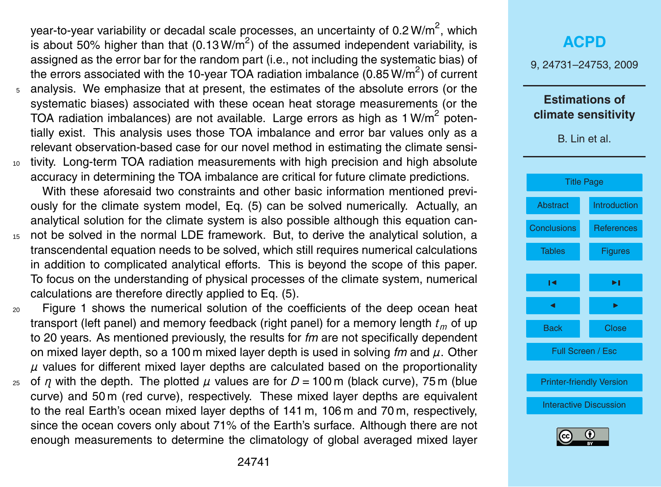year-to-year variability or decadal scale processes, an uncertainty of 0.2 W/m<sup>2</sup>, which is about 50% higher than that (0.13 W/m<sup>2</sup>) of the assumed independent variability, is assigned as the error bar for the random part (i.e., not including the systematic bias) of the errors associated with the 10-year TOA radiation imbalance (0.85 W/m<sup>2</sup>) of current <sup>5</sup> analysis. We emphasize that at present, the estimates of the absolute errors (or the systematic biases) associated with these ocean heat storage measurements (or the TOA radiation imbalances) are not available. Large errors as high as 1 W/m<sup>2</sup> potentially exist. This analysis uses those TOA imbalance and error bar values only as a relevant observation-based case for our novel method in estimating the climate sensi-

<sup>10</sup> tivity. Long-term TOA radiation measurements with high precision and high absolute accuracy in determining the TOA imbalance are critical for future climate predictions.

With these aforesaid two constraints and other basic information mentioned previously for the climate system model, Eq. (5) can be solved numerically. Actually, an analytical solution for the climate system is also possible although this equation can-

<sup>15</sup> not be solved in the normal LDE framework. But, to derive the analytical solution, a transcendental equation needs to be solved, which still requires numerical calculations in addition to complicated analytical efforts. This is beyond the scope of this paper. To focus on the understanding of physical processes of the climate system, numerical calculations are therefore directly applied to Eq. (5).

<sup>20</sup> Figure 1 shows the numerical solution of the coefficients of the deep ocean heat transport (left panel) and memory feedback (right panel) for a memory length *t<sup>m</sup>* of up to 20 years. As mentioned previously, the results for *fm* are not specifically dependent on mixed layer depth, so a 100 m mixed layer depth is used in solving *fm* and *µ*. Other *µ* values for different mixed layer depths are calculated based on the proportionality

<sup>25</sup> of *η* with the depth. The plotted *µ* values are for *D* = 100 m (black curve), 75 m (blue curve) and 50 m (red curve), respectively. These mixed layer depths are equivalent to the real Earth's ocean mixed layer depths of 141 m, 106 m and 70 m, respectively, since the ocean covers only about 71% of the Earth's surface. Although there are not enough measurements to determine the climatology of global averaged mixed layer

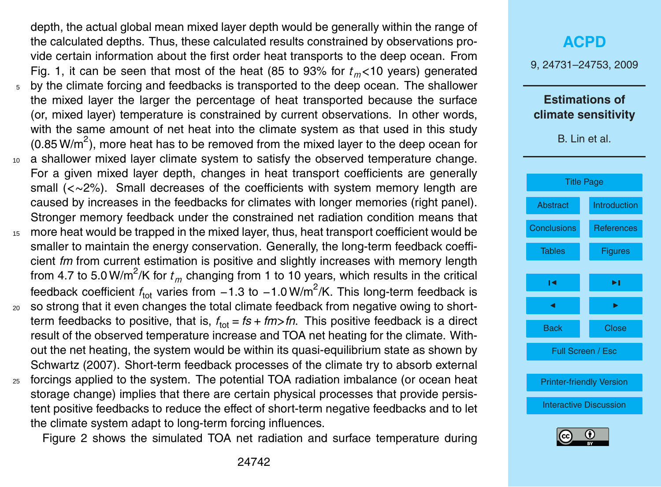depth, the actual global mean mixed layer depth would be generally within the range of the calculated depths. Thus, these calculated results constrained by observations provide certain information about the first order heat transports to the deep ocean. From Fig. 1, it can be seen that most of the heat (85 to 93% for  $t_m$ <10 years) generated <sup>5</sup> by the climate forcing and feedbacks is transported to the deep ocean. The shallower the mixed layer the larger the percentage of heat transported because the surface (or, mixed layer) temperature is constrained by current observations. In other words, with the same amount of net heat into the climate system as that used in this study (0.85 W/m<sup>2</sup>), more heat has to be removed from the mixed layer to the deep ocean for <sup>10</sup> a shallower mixed layer climate system to satisfy the observed temperature change. For a given mixed layer depth, changes in heat transport coefficients are generally small (*<*∼2%). Small decreases of the coefficients with system memory length are caused by increases in the feedbacks for climates with longer memories (right panel). Stronger memory feedback under the constrained net radiation condition means that <sup>15</sup> more heat would be trapped in the mixed layer, thus, heat transport coefficient would be

- smaller to maintain the energy conservation. Generally, the long-term feedback coefficient *fm* from current estimation is positive and slightly increases with memory length from 4.7 to 5.0 W/m<sup>2</sup>/K for  $t_m$  changing from 1 to 10 years, which results in the critical feedback coefficient *f*<sub>tot</sub> varies from −1.3 to −1.0W/m<sup>2</sup>/K. This long-term feedback is
- <sup>20</sup> so strong that it even changes the total climate feedback from negative owing to shortterm feedbacks to positive, that is,  $f_{\text{tot}}$  = *fs* + *fm>fn*. This positive feedback is a direct result of the observed temperature increase and TOA net heating for the climate. Without the net heating, the system would be within its quasi-equilibrium state as shown by Schwartz (2007). Short-term feedback processes of the climate try to absorb external
- <sup>25</sup> forcings applied to the system. The potential TOA radiation imbalance (or ocean heat storage change) implies that there are certain physical processes that provide persistent positive feedbacks to reduce the effect of short-term negative feedbacks and to let the climate system adapt to long-term forcing influences.

Figure 2 shows the simulated TOA net radiation and surface temperature during

### **[ACPD](http://www.atmos-chem-phys-discuss.net)**

9, 24731–24753, 2009

### **Estimations of climate sensitivity**



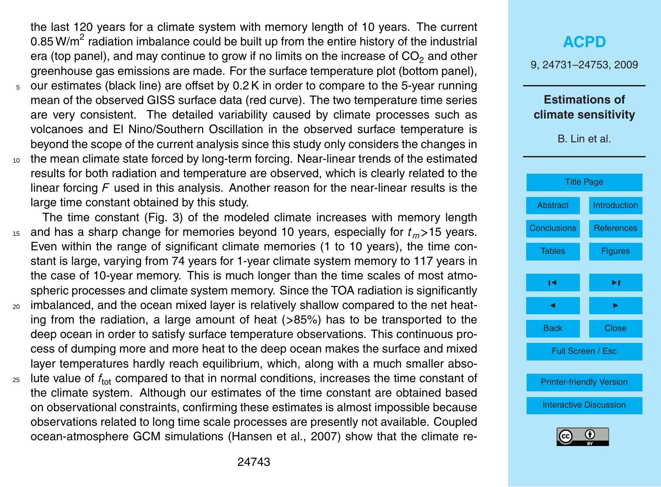the last 120 years for a climate system with memory length of 10 years. The current 0.85 W/m<sup>2</sup> radiation imbalance could be built up from the entire history of the industrial era (top panel), and may continue to grow if no limits on the increase of  $CO<sub>2</sub>$  and other greenhouse gas emissions are made. For the surface temperature plot (bottom panel),

- <sup>5</sup> our estimates (black line) are offset by 0.2 K in order to compare to the 5-year running mean of the observed GISS surface data (red curve). The two temperature time series are very consistent. The detailed variability caused by climate processes such as volcanoes and El Nino/Southern Oscillation in the observed surface temperature is beyond the scope of the current analysis since this study only considers the changes in
- <sup>10</sup> the mean climate state forced by long-term forcing. Near-linear trends of the estimated results for both radiation and temperature are observed, which is clearly related to the linear forcing *F* used in this analysis. Another reason for the near-linear results is the large time constant obtained by this study.

The time constant (Fig. 3) of the modeled climate increases with memory length <sup>15</sup> and has a sharp change for memories beyond 10 years, especially for *tm>*15 years. Even within the range of significant climate memories (1 to 10 years), the time constant is large, varying from 74 years for 1-year climate system memory to 117 years in the case of 10-year memory. This is much longer than the time scales of most atmospheric processes and climate system memory. Since the TOA radiation is significantly

- <sup>20</sup> imbalanced, and the ocean mixed layer is relatively shallow compared to the net heating from the radiation, a large amount of heat (*>*85%) has to be transported to the deep ocean in order to satisfy surface temperature observations. This continuous process of dumping more and more heat to the deep ocean makes the surface and mixed layer temperatures hardly reach equilibrium, which, along with a much smaller abso-
- $_{25}$  lute value of  $f_{tot}$  compared to that in normal conditions, increases the time constant of the climate system. Although our estimates of the time constant are obtained based on observational constraints, confirming these estimates is almost impossible because observations related to long time scale processes are presently not available. Coupled ocean-atmosphere GCM simulations (Hansen et al., 2007) show that the climate re-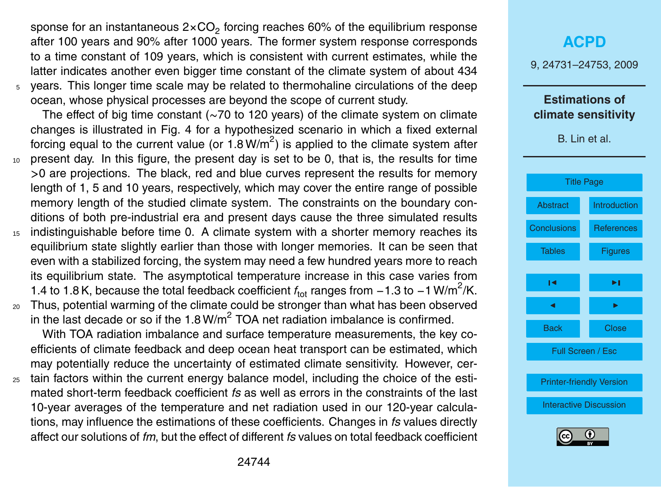sponse for an instantaneous 2×CO<sub>2</sub> forcing reaches 60% of the equilibrium response after 100 years and 90% after 1000 years. The former system response corresponds to a time constant of 109 years, which is consistent with current estimates, while the latter indicates another even bigger time constant of the climate system of about 434 <sup>5</sup> years. This longer time scale may be related to thermohaline circulations of the deep

ocean, whose physical processes are beyond the scope of current study.

The effect of big time constant (∼70 to 120 years) of the climate system on climate changes is illustrated in Fig. 4 for a hypothesized scenario in which a fixed external forcing equal to the current value (or 1.8 W/m<sup>2</sup>) is applied to the climate system after <sup>10</sup> present day. In this figure, the present day is set to be 0, that is, the results for time

- *>*0 are projections. The black, red and blue curves represent the results for memory length of 1, 5 and 10 years, respectively, which may cover the entire range of possible memory length of the studied climate system. The constraints on the boundary conditions of both pre-industrial era and present days cause the three simulated results
- <sup>15</sup> indistinguishable before time 0. A climate system with a shorter memory reaches its equilibrium state slightly earlier than those with longer memories. It can be seen that even with a stabilized forcing, the system may need a few hundred years more to reach its equilibrium state. The asymptotical temperature increase in this case varies from 1.4 to 1.8 K, because the total feedback coefficient  $f_{\text{tot}}$  ranges from −1.3 to −1 W/m<sup>2</sup>/K.
- <sup>20</sup> Thus, potential warming of the climate could be stronger than what has been observed in the last decade or so if the 1.8 W/m<sup>2</sup> TOA net radiation imbalance is confirmed.

With TOA radiation imbalance and surface temperature measurements, the key coefficients of climate feedback and deep ocean heat transport can be estimated, which may potentially reduce the uncertainty of estimated climate sensitivity. However, cer-

<sup>25</sup> tain factors within the current energy balance model, including the choice of the estimated short-term feedback coefficient *fs* as well as errors in the constraints of the last 10-year averages of the temperature and net radiation used in our 120-year calculations, may influence the estimations of these coefficients. Changes in *fs* values directly affect our solutions of *fm*, but the effect of different *fs* values on total feedback coefficient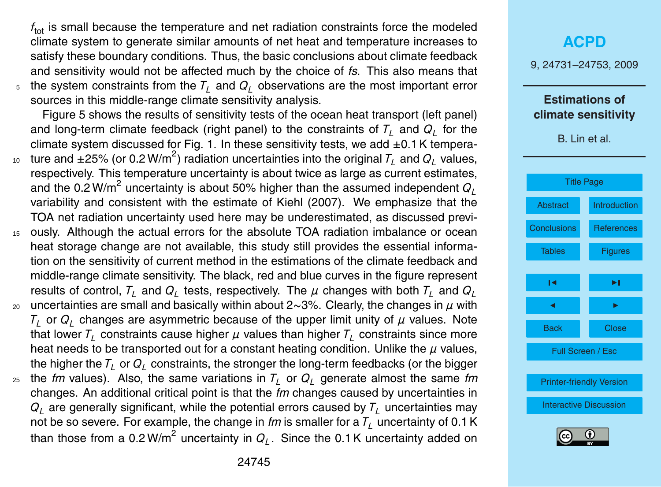$f_{\text{tot}}$  is small because the temperature and net radiation constraints force the modeled climate system to generate similar amounts of net heat and temperature increases to satisfy these boundary conditions. Thus, the basic conclusions about climate feedback and sensitivity would not be affected much by the choice of *fs*. This also means that the system constraints from the  $T<sub>i</sub>$  and  $Q<sub>i</sub>$  observations are the most important error sources in this middle-range climate sensitivity analysis.

Figure 5 shows the results of sensitivity tests of the ocean heat transport (left panel) and long-term climate feedback (right panel) to the constraints of *T<sup>L</sup>* and *Q<sup>L</sup>* for the climate system discussed for Fig. 1. In these sensitivity tests, we add  $\pm 0.1$  K tempera- $_{^{10}}~$  ture and  $\pm 25\%$  (or 0.2 W/m<sup>2</sup>) radiation uncertainties into the original  $\mathcal{T}_L$  and  $\mathcal{Q}_L$  values,

- respectively. This temperature uncertainty is about twice as large as current estimates, and the 0.2 W/m<sup>2</sup> uncertainty is about 50% higher than the assumed independent  $Q_L$ variability and consistent with the estimate of Kiehl (2007). We emphasize that the TOA net radiation uncertainty used here may be underestimated, as discussed previ-
- <sup>15</sup> ously. Although the actual errors for the absolute TOA radiation imbalance or ocean heat storage change are not available, this study still provides the essential information on the sensitivity of current method in the estimations of the climate feedback and middle-range climate sensitivity. The black, red and blue curves in the figure represent results of control,  $T_{L}$  and  $Q_{L}$  tests, respectively. The  $\mu$  changes with both  $T_{L}$  and  $Q_{L}$
- <sup>20</sup> uncertainties are small and basically within about 2∼3%. Clearly, the changes in *µ* with  $\mathcal{T}_L$  or  $\mathcal{Q}_L$  changes are asymmetric because of the upper limit unity of  $\mu$  values. Note that lower  $T_L$  constraints cause higher  $\mu$  values than higher  $T_L$  constraints since more heat needs to be transported out for a constant heating condition. Unlike the *µ* values, the higher the  $T_L$  or  $Q_L$  constraints, the stronger the long-term feedbacks (or the bigger
- $25$  the *fm* values). Also, the same variations in  $T_l$  or  $Q_l$  generate almost the same *fm* changes. An additional critical point is that the *fm* changes caused by uncertainties in  $Q_L$  are generally significant, while the potential errors caused by  $T_L$  uncertainties may not be so severe. For example, the change in  $\ell m$  is smaller for a  $T<sub>L</sub>$  uncertainty of 0.1 K than those from a 0.2 W/m<sup>2</sup> uncertainty in  $Q_L$ . Since the 0.1 K uncertainty added on

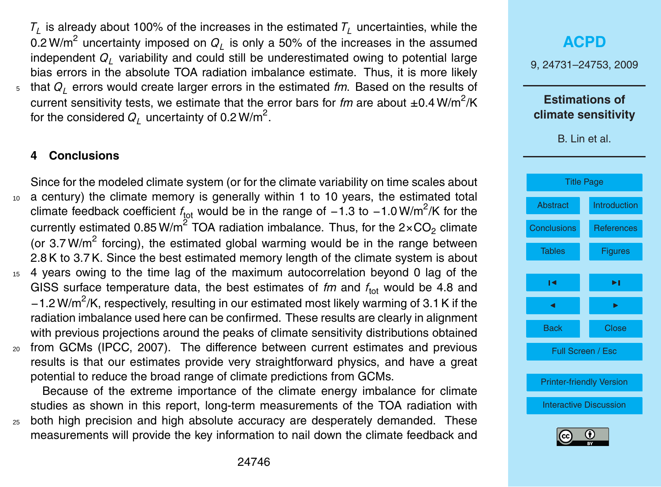<span id="page-15-0"></span> $\mathcal{T}_L$  is already about 100% of the increases in the estimated  $\mathcal{T}_L$  uncertainties, while the 0.2 W/m $^2$  uncertainty imposed on  $Q_L$  is only a 50% of the increases in the assumed independent *Q<sup>L</sup>* variability and could still be underestimated owing to potential large bias errors in the absolute TOA radiation imbalance estimate. Thus, it is more likely <sup>5</sup> that *Q<sup>L</sup>* errors would create larger errors in the estimated *fm*. Based on the results of current sensitivity tests, we estimate that the error bars for *fm* are about ±0.4 W/m<sup>2</sup>/K for the considered  $Q_L^{\parallel}$  uncertainty of 0.2 W/m<sup>2</sup>.

### **4 Conclusions**

Since for the modeled climate system (or for the climate variability on time scales about <sup>10</sup> a century) the climate memory is generally within 1 to 10 years, the estimated total climate feedback coefficient *f*<sub>tot</sub> would be in the range of −1.3 to −1.0 W/m<sup>2</sup>/K for the currently estimated 0.85 W/m<sup>2</sup> TOA radiation imbalance. Thus, for the 2×CO<sub>2</sub> climate (or 3.7 W/m<sup>2</sup> forcing), the estimated global warming would be in the range between 2.8 K to 3.7 K. Since the best estimated memory length of the climate system is about <sup>15</sup> 4 years owing to the time lag of the maximum autocorrelation beyond 0 lag of the GISS surface temperature data, the best estimates of *fm* and  $f_{\text{tot}}$  would be 4.8 and −1.2 W/m<sup>2</sup>/K, respectively, resulting in our estimated most likely warming of 3.1 K if the radiation imbalance used here can be confirmed. These results are clearly in alignment with previous projections around the peaks of climate sensitivity distributions obtained <sup>20</sup> from GCMs (IPCC, 2007). The difference between current estimates and previous results is that our estimates provide very straightforward physics, and have a great potential to reduce the broad range of climate predictions from GCMs.

Because of the extreme importance of the climate energy imbalance for climate studies as shown in this report, long-term measurements of the TOA radiation with <sup>25</sup> both high precision and high absolute accuracy are desperately demanded. These measurements will provide the key information to nail down the climate feedback and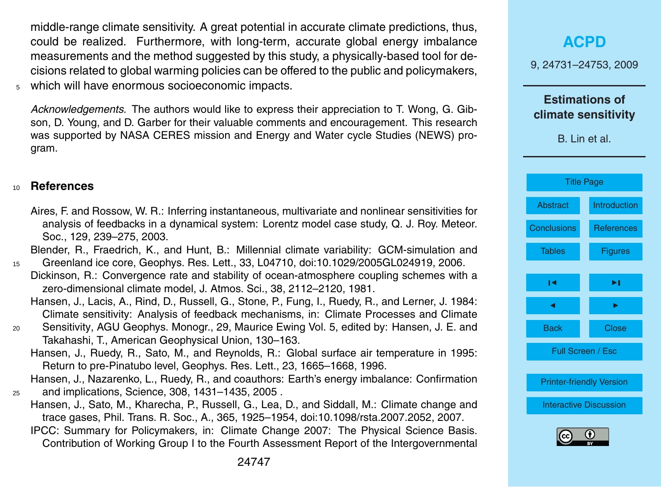<span id="page-16-0"></span>middle-range climate sensitivity. A great potential in accurate climate predictions, thus, could be realized. Furthermore, with long-term, accurate global energy imbalance measurements and the method suggested by this study, a physically-based tool for decisions related to global warming policies can be offered to the public and policymakers, <sup>5</sup> which will have enormous socioeconomic impacts.

*Acknowledgements.* The authors would like to express their appreciation to T. Wong, G. Gibson, D. Young, and D. Garber for their valuable comments and encouragement. This research was supported by NASA CERES mission and Energy and Water cycle Studies (NEWS) program.

#### <sup>10</sup> **References**

Aires, F. and Rossow, W. R.: Inferring instantaneous, multivariate and nonlinear sensitivities for analysis of feedbacks in a dynamical system: Lorentz model case study, Q. J. Roy. Meteor. Soc., 129, 239–275, 2003.

Blender, R., Fraedrich, K., and Hunt, B.: Millennial climate variability: GCM-simulation and

- <sup>15</sup> Greenland ice core, Geophys. Res. Lett., 33, L04710, doi:10.1029/2005GL024919, 2006. Dickinson, R.: Convergence rate and stability of ocean-atmosphere coupling schemes with a zero-dimensional climate model, J. Atmos. Sci., 38, 2112–2120, 1981.
	- Hansen, J., Lacis, A., Rind, D., Russell, G., Stone, P., Fung, I., Ruedy, R., and Lerner, J. 1984: Climate sensitivity: Analysis of feedback mechanisms, in: Climate Processes and Climate
- <sup>20</sup> Sensitivity, AGU Geophys. Monogr., 29, Maurice Ewing Vol. 5, edited by: Hansen, J. E. and Takahashi, T., American Geophysical Union, 130–163.
	- Hansen, J., Ruedy, R., Sato, M., and Reynolds, R.: Global surface air temperature in 1995: Return to pre-Pinatubo level, Geophys. Res. Lett., 23, 1665–1668, 1996.

Hansen, J., Nazarenko, L., Ruedy, R., and coauthors: Earth's energy imbalance: Confirmation <sup>25</sup> and implications, Science, 308, 1431–1435, 2005 .

- Hansen, J., Sato, M., Kharecha, P., Russell, G., Lea, D., and Siddall, M.: Climate change and trace gases, Phil. Trans. R. Soc., A., 365, 1925–1954, doi:10.1098/rsta.2007.2052, 2007.
	- IPCC: Summary for Policymakers, in: Climate Change 2007: The Physical Science Basis. Contribution of Working Group I to the Fourth Assessment Report of the Intergovernmental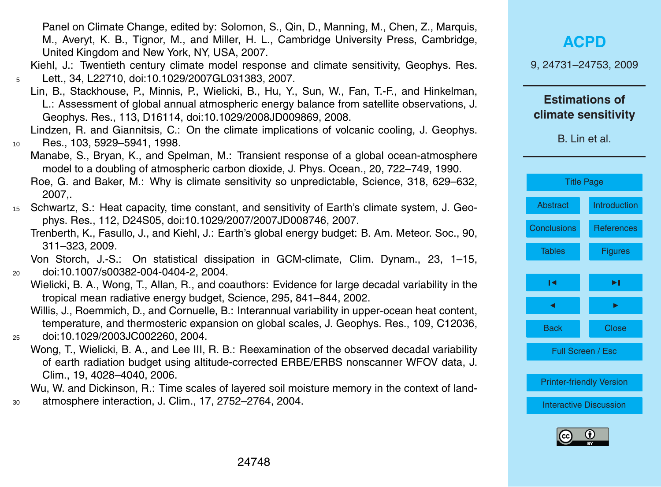Panel on Climate Change, edited by: Solomon, S., Qin, D., Manning, M., Chen, Z., Marquis, M., Averyt, K. B., Tignor, M., and Miller, H. L., Cambridge University Press, Cambridge, United Kingdom and New York, NY, USA, 2007.

Kiehl, J.: Twentieth century climate model response and climate sensitivity, Geophys. Res. <sup>5</sup> Lett., 34, L22710, doi:10.1029/2007GL031383, 2007.

- Lin, B., Stackhouse, P., Minnis, P., Wielicki, B., Hu, Y., Sun, W., Fan, T.-F., and Hinkelman, L.: Assessment of global annual atmospheric energy balance from satellite observations, J. Geophys. Res., 113, D16114, doi:10.1029/2008JD009869, 2008.
- Lindzen, R. and Giannitsis, C.: On the climate implications of volcanic cooling, J. Geophys. <sup>10</sup> Res., 103, 5929–5941, 1998.
	- Manabe, S., Bryan, K., and Spelman, M.: Transient response of a global ocean-atmosphere model to a doubling of atmospheric carbon dioxide, J. Phys. Ocean., 20, 722–749, 1990. Roe, G. and Baker, M.: Why is climate sensitivity so unpredictable, Science, 318, 629–632, 2007,.
- <sup>15</sup> Schwartz, S.: Heat capacity, time constant, and sensitivity of Earth's climate system, J. Geophys. Res., 112, D24S05, doi:10.1029/2007/2007JD008746, 2007.
	- Trenberth, K., Fasullo, J., and Kiehl, J.: Earth's global energy budget: B. Am. Meteor. Soc., 90, 311–323, 2009.

Von Storch, J.-S.: On statistical dissipation in GCM-climate, Clim. Dynam., 23, 1–15, <sup>20</sup> doi:10.1007/s00382-004-0404-2, 2004.

- Wielicki, B. A., Wong, T., Allan, R., and coauthors: Evidence for large decadal variability in the tropical mean radiative energy budget, Science, 295, 841–844, 2002.
- Willis, J., Roemmich, D., and Cornuelle, B.: Interannual variability in upper-ocean heat content, temperature, and thermosteric expansion on global scales, J. Geophys. Res., 109, C12036, <sup>25</sup> doi:10.1029/2003JC002260, 2004.
	- Wong, T., Wielicki, B. A., and Lee III, R. B.: Reexamination of the observed decadal variability of earth radiation budget using altitude-corrected ERBE/ERBS nonscanner WFOV data, J. Clim., 19, 4028–4040, 2006.

Wu, W. and Dickinson, R.: Time scales of layered soil moisture memory in the context of land-<sup>30</sup> atmosphere interaction, J. Clim., 17, 2752–2764, 2004.

**[ACPD](http://www.atmos-chem-phys-discuss.net)**

9, 24731–24753, 2009

#### **Estimations of climate sensitivity**

| <b>Title Page</b>               |                     |  |
|---------------------------------|---------------------|--|
| <b>Abstract</b>                 | <b>Introduction</b> |  |
| <b>Conclusions</b>              | <b>References</b>   |  |
| <b>Tables</b>                   | <b>Figures</b>      |  |
|                                 |                     |  |
| ∣◀                              | ▶∣                  |  |
| ◀                               | ▶                   |  |
| Back                            | Close               |  |
| Full Screen / Esc               |                     |  |
|                                 |                     |  |
| <b>Printer-friendly Version</b> |                     |  |
| <b>Interactive Discussion</b>   |                     |  |
|                                 |                     |  |

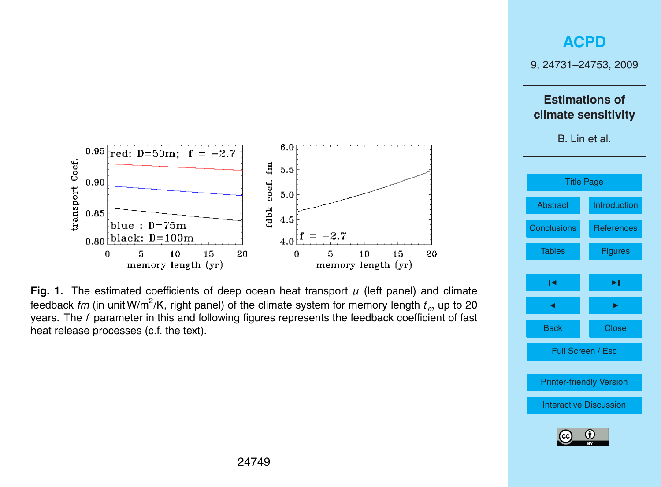9, 24731–24753, 2009

### **Estimations of climate sensitivity**

<span id="page-18-0"></span>



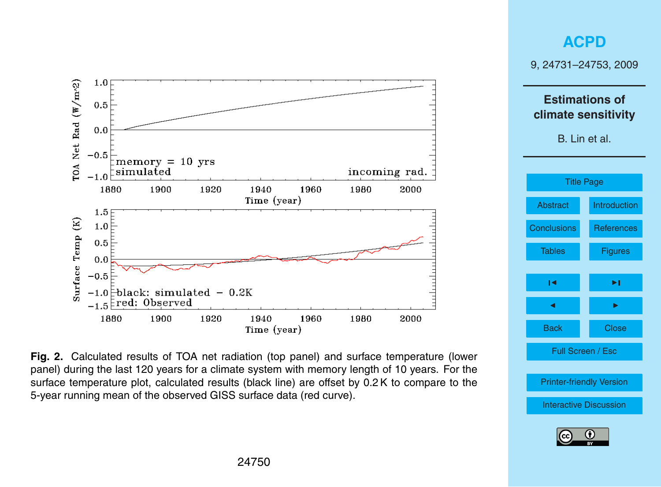

Fig. 2. Calculated results of TOA net radiation (top panel) and surface temperature (lower panel) during the last 120 years for a climate system with memory length of 10 years. For the surface temperature plot, calculated results (black line) are offset by 0.2 K to compare to the 5-year running mean of the observed GISS surface data (red curve).

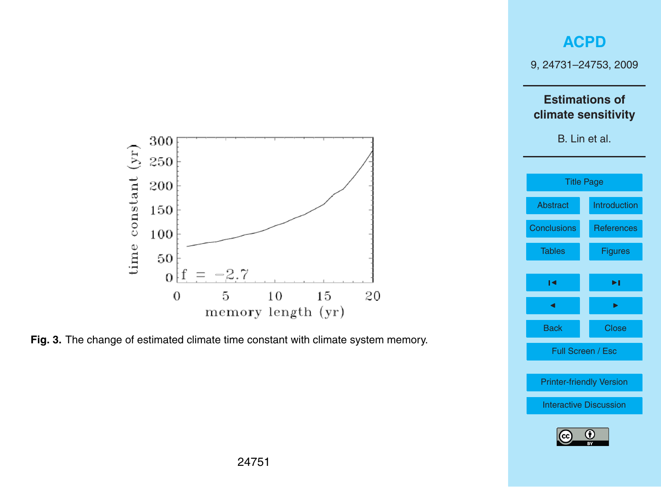9, 24731–24753, 2009

### **Estimations of climate sensitivity**





Fig. 3. The change of estimated climate time constant with climate system memory.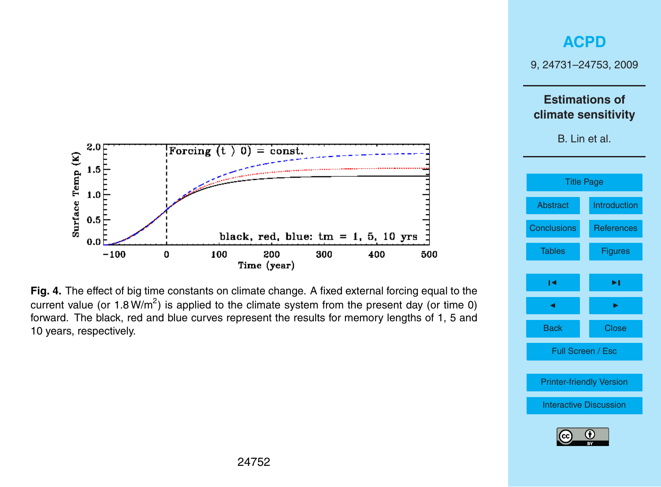





9, 24731–24753, 2009